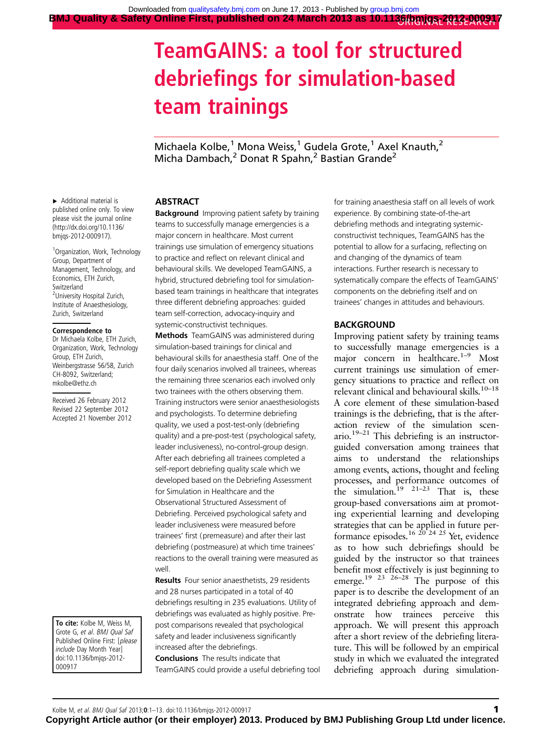# TeamGAINS: a tool for structured debriefings for simulation-based team trainings

Michaela Kolbe,<sup>1</sup> Mona Weiss,<sup>1</sup> Gudela Grote,<sup>1</sup> Axel Knauth,<sup>2</sup> Micha Dambach,<sup>2</sup> Donat R Spahn,<sup>2</sup> Bastian Grande<sup>2</sup>

# ABSTRACT

Background Improving patient safety by training teams to successfully manage emergencies is a major concern in healthcare. Most current trainings use simulation of emergency situations to practice and reflect on relevant clinical and behavioural skills. We developed TeamGAINS, a hybrid, structured debriefing tool for simulationbased team trainings in healthcare that integrates three different debriefing approaches: guided team self-correction, advocacy-inquiry and systemic-constructivist techniques.

Methods TeamGAINS was administered during simulation-based trainings for clinical and behavioural skills for anaesthesia staff. One of the four daily scenarios involved all trainees, whereas the remaining three scenarios each involved only two trainees with the others observing them. Training instructors were senior anaesthesiologists and psychologists. To determine debriefing quality, we used a post-test-only (debriefing quality) and a pre-post-test (psychological safety, leader inclusiveness), no-control-group design. After each debriefing all trainees completed a self-report debriefing quality scale which we developed based on the Debriefing Assessment for Simulation in Healthcare and the Observational Structured Assessment of Debriefing. Perceived psychological safety and leader inclusiveness were measured before trainees' first (premeasure) and after their last debriefing (postmeasure) at which time trainees' reactions to the overall training were measured as well.

Results Four senior anaesthetists, 29 residents and 28 nurses participated in a total of 40 debriefings resulting in 235 evaluations. Utility of debriefings was evaluated as highly positive. Prepost comparisons revealed that psychological safety and leader inclusiveness significantly increased after the debriefings. Conclusions The results indicate that TeamGAINS could provide a useful debriefing tool for training anaesthesia staff on all levels of work experience. By combining state-of-the-art debriefing methods and integrating systemicconstructivist techniques, TeamGAINS has the potential to allow for a surfacing, reflecting on and changing of the dynamics of team interactions. Further research is necessary to systematically compare the effects of TeamGAINS' components on the debriefing itself and on trainees' changes in attitudes and behaviours.

# BACKGROUND

Improving patient safety by training teams to successfully manage emergencies is a major concern in healthcare.<sup>1–9</sup> Most current trainings use simulation of emergency situations to practice and reflect on relevant clinical and behavioural skills.<sup>10–18</sup> A core element of these simulation-based trainings is the debriefing, that is the afteraction review of the simulation scenario. $19-21$  This debriefing is an instructorguided conversation among trainees that aims to understand the relationships among events, actions, thought and feeling processes, and performance outcomes of the simulation.<sup>19</sup>  $21-23$  That is, these group-based conversations aim at promoting experiential learning and developing strategies that can be applied in future performance episodes.<sup>16 20</sup> <sup>24 25</sup> Yet, evidence as to how such debriefings should be guided by the instructor so that trainees benefit most effectively is just beginning to emerge.<sup>19 23 26–28</sup> The purpose of this paper is to describe the development of an integrated debriefing approach and demonstrate how trainees perceive this approach. We will present this approach after a short review of the debriefing literature. This will be followed by an empirical study in which we evaluated the integrated debriefing approach during simulation-

▸ Additional material is published online only. To view please visit the journal online (http://dx.doi.org/10.1136/ bmjqs-2012-000917).

<sup>1</sup>Organization, Work, Technology Group, Department of Management, Technology, and Economics, ETH Zurich, Switzerland <sup>2</sup>University Hospital Zurich, Institute of Anaesthesiology, Zurich, Switzerland

#### Correspondence to

Dr Michaela Kolbe, ETH Zurich, Organization, Work, Technology Group, ETH Zurich, Weinbergstrasse 56/58, Zurich CH-8092, Switzerland; mkolbe@ethz.ch

Received 26 February 2012 Revised 22 September 2012 Accepted 21 November 2012

To cite: Kolbe M, Weiss M, Grote G, et al. BMJ Qual Saf Published Online First: [please include Day Month Year] doi:10.1136/bmjqs-2012- 000917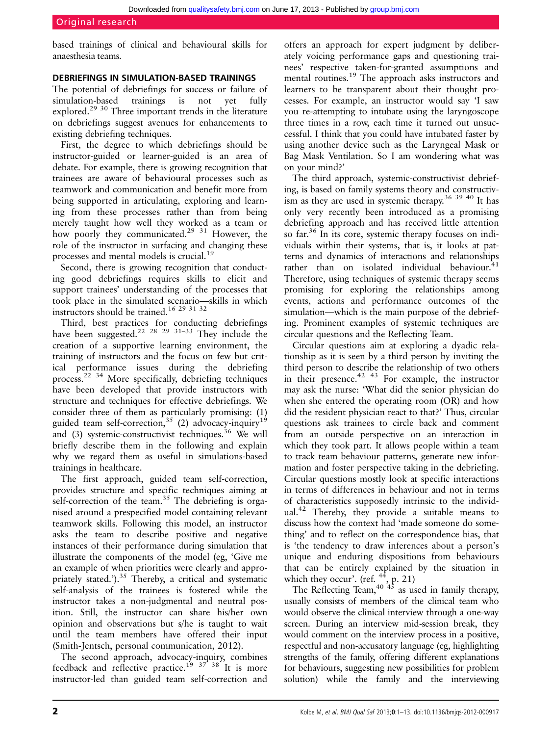based trainings of clinical and behavioural skills for anaesthesia teams.

# DEBRIEFINGS IN SIMULATION-BASED TRAININGS

The potential of debriefings for success or failure of simulation-based trainings is not yet fully explored.<sup>29</sup> <sup>30</sup> Three important trends in the literature on debriefings suggest avenues for enhancements to existing debriefing techniques.

First, the degree to which debriefings should be instructor-guided or learner-guided is an area of debate. For example, there is growing recognition that trainees are aware of behavioural processes such as teamwork and communication and benefit more from being supported in articulating, exploring and learning from these processes rather than from being merely taught how well they worked as a team or how poorly they communicated.<sup>29</sup> <sup>31</sup> However, the role of the instructor in surfacing and changing these processes and mental models is crucial.<sup>19</sup>

Second, there is growing recognition that conducting good debriefings requires skills to elicit and support trainees' understanding of the processes that took place in the simulated scenario—skills in which instructors should be trained.16 29 31 32

Third, best practices for conducting debriefings have been suggested.<sup>22 28 29 31-33</sup> They include the creation of a supportive learning environment, the training of instructors and the focus on few but critical performance issues during the debriefing process.<sup>22 34</sup> More specifically, debriefing techniques have been developed that provide instructors with structure and techniques for effective debriefings. We consider three of them as particularly promising: (1) guided team self-correction,  $35$  (2) advocacy-inquiry<sup>19</sup> and (3) systemic-constructivist techniques.<sup>36</sup> We will briefly describe them in the following and explain why we regard them as useful in simulations-based trainings in healthcare.

The first approach, guided team self-correction, provides structure and specific techniques aiming at self-correction of the team.<sup>35</sup> The debriefing is organised around a prespecified model containing relevant teamwork skills. Following this model, an instructor asks the team to describe positive and negative instances of their performance during simulation that illustrate the components of the model (eg, 'Give me an example of when priorities were clearly and appropriately stated.').<sup>35</sup> Thereby, a critical and systematic self-analysis of the trainees is fostered while the instructor takes a non-judgmental and neutral position. Still, the instructor can share his/her own opinion and observations but s/he is taught to wait until the team members have offered their input (Smith-Jentsch, personal communication, 2012).

The second approach, advocacy-inquiry, combines feedback and reflective practice.<sup>19</sup>  $37^{\degree}$  38<sup> $\degree$ </sup>It is more instructor-led than guided team self-correction and

offers an approach for expert judgment by deliberately voicing performance gaps and questioning trainees' respective taken-for-granted assumptions and mental routines.<sup>19</sup> The approach asks instructors and learners to be transparent about their thought processes. For example, an instructor would say 'I saw you re-attempting to intubate using the laryngoscope three times in a row, each time it turned out unsuccessful. I think that you could have intubated faster by using another device such as the Laryngeal Mask or Bag Mask Ventilation. So I am wondering what was on your mind?'

The third approach, systemic-constructivist debriefing, is based on family systems theory and constructivism as they are used in systemic therapy.<sup>36 39 40</sup> It has only very recently been introduced as a promising debriefing approach and has received little attention so far.<sup>36</sup> In its core, systemic therapy focuses on individuals within their systems, that is, it looks at patterns and dynamics of interactions and relationships rather than on isolated individual behaviour. $41$ Therefore, using techniques of systemic therapy seems promising for exploring the relationships among events, actions and performance outcomes of the simulation—which is the main purpose of the debriefing. Prominent examples of systemic techniques are circular questions and the Reflecting Team.

Circular questions aim at exploring a dyadic relationship as it is seen by a third person by inviting the third person to describe the relationship of two others in their presence. $42\frac{42}{3}$  For example, the instructor may ask the nurse: 'What did the senior physician do when she entered the operating room (OR) and how did the resident physician react to that?' Thus, circular questions ask trainees to circle back and comment from an outside perspective on an interaction in which they took part. It allows people within a team to track team behaviour patterns, generate new information and foster perspective taking in the debriefing. Circular questions mostly look at specific interactions in terms of differences in behaviour and not in terms of characteristics supposedly intrinsic to the individual.<sup>42</sup> Thereby, they provide a suitable means to discuss how the context had 'made someone do something' and to reflect on the correspondence bias, that is 'the tendency to draw inferences about a person's unique and enduring dispositions from behaviours that can be entirely explained by the situation in which they occur'. (ref.  $4\frac{4}{3}$ , p. 21)

The Reflecting Team,  $40\frac{45}{15}$  as used in family therapy, usually consists of members of the clinical team who would observe the clinical interview through a one-way screen. During an interview mid-session break, they would comment on the interview process in a positive, respectful and non-accusatory language (eg, highlighting strengths of the family, offering different explanations for behaviours, suggesting new possibilities for problem solution) while the family and the interviewing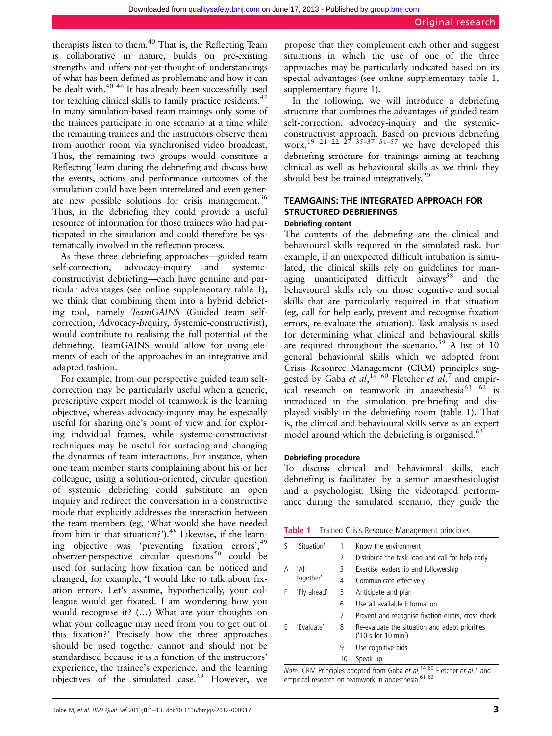therapists listen to them.<sup>40</sup> That is, the Reflecting Team is collaborative in nature, builds on pre-existing strengths and offers not-yet-thought-of understandings of what has been defined as problematic and how it can be dealt with.40 46 It has already been successfully used for teaching clinical skills to family practice residents.<sup>47</sup> In many simulation-based team trainings only some of the trainees participate in one scenario at a time while the remaining trainees and the instructors observe them from another room via synchronised video broadcast. Thus, the remaining two groups would constitute a Reflecting Team during the debriefing and discuss how the events, actions and performance outcomes of the simulation could have been interrelated and even generate new possible solutions for crisis management.<sup>36</sup> Thus, in the debriefing they could provide a useful resource of information for those trainees who had participated in the simulation and could therefore be systematically involved in the reflection process.

As these three debriefing approaches—guided team self-correction, advocacy-inquiry and systemicconstructivist debriefing—each have genuine and particular advantages (see online supplementary table 1), we think that combining them into a hybrid debriefing tool, namely TeamGAINS (Guided team selfcorrection, Advocacy-Inquiry, Systemic-constructivist), would contribute to realising the full potential of the debriefing. TeamGAINS would allow for using elements of each of the approaches in an integrative and adapted fashion.

For example, from our perspective guided team selfcorrection may be particularly useful when a generic, prescriptive expert model of teamwork is the learning objective, whereas advocacy-inquiry may be especially useful for sharing one's point of view and for exploring individual frames, while systemic-constructivist techniques may be useful for surfacing and changing the dynamics of team interactions. For instance, when one team member starts complaining about his or her colleague, using a solution-oriented, circular question of systemic debriefing could substitute an open inquiry and redirect the conversation in a constructive mode that explicitly addresses the interaction between the team members (eg, 'What would she have needed from him in that situation?').<sup>48</sup> Likewise, if the learning objective was 'preventing fixation errors', 49 observer-perspective circular questions $50$  could be used for surfacing how fixation can be noticed and changed, for example, 'I would like to talk about fixation errors. Let's assume, hypothetically, your colleague would get fixated. I am wondering how you would recognise it? (…) What are your thoughts on what your colleague may need from you to get out of this fixation?' Precisely how the three approaches should be used together cannot and should not be standardised because it is a function of the instructors' experience, the trainee's experience, and the learning objectives of the simulated case.<sup>29</sup> However, we

propose that they complement each other and suggest situations in which the use of one of the three approaches may be particularly indicated based on its special advantages (see online supplementary table 1, supplementary figure 1).

In the following, we will introduce a debriefing structure that combines the advantages of guided team self-correction, advocacy-inquiry and the systemicconstructivist approach. Based on previous debriefing work,<sup>19 21 22 27 35-37 51-57</sup> we have developed this debriefing structure for trainings aiming at teaching clinical as well as behavioural skills as we think they should best be trained integratively.<sup>20</sup>

# TEAMGAINS: THE INTEGRATED APPROACH FOR STRUCTURED DEBRIEFINGS

# Debriefing content

The contents of the debriefing are the clinical and behavioural skills required in the simulated task. For example, if an unexpected difficult intubation is simulated, the clinical skills rely on guidelines for managing unanticipated difficult airways<sup>58</sup> and the behavioural skills rely on those cognitive and social skills that are particularly required in that situation (eg, call for help early, prevent and recognise fixation errors, re-evaluate the situation). Task analysis is used for determining what clinical and behavioural skills are required throughout the scenario.<sup>59</sup> A list of 10 general behavioural skills which we adopted from Crisis Resource Management (CRM) principles suggested by Gaba et al,<sup>14 60</sup> Fletcher et al,<sup>7</sup> and empirical research on teamwork in anaesthesia<sup>61 62</sup> is introduced in the simulation pre-briefing and displayed visibly in the debriefing room (table 1). That is, the clinical and behavioural skills serve as an expert model around which the debriefing is organised.<sup>63</sup>

# Debriefing procedure

To discuss clinical and behavioural skills, each debriefing is facilitated by a senior anaesthesiologist and a psychologist. Using the videotaped performance during the simulated scenario, they guide the

Table 1 Trained Crisis Resource Management principles

| ς | 'Situation' | 1  | Know the environment                                                  |
|---|-------------|----|-----------------------------------------------------------------------|
|   |             | 2  | Distribute the task load and call for help early                      |
| Α | 'All        | 3  | Exercise leadership and followership                                  |
|   | together'   | 4  | Communicate effectively                                               |
| F | 'Fly ahead' | 5  | Anticipate and plan                                                   |
|   |             | 6  | Use all available information                                         |
|   |             | 7  | Prevent and recognise fixation errors, cross-check                    |
| F | 'Fvaluate'  | 8  | Re-evaluate the situation and adapt priorities<br>('10 s for 10 min') |
|   |             | 9  | Use cognitive aids                                                    |
|   |             | 10 | Speak up                                                              |

Note. CRM-Principles adopted from Gaba et  $al$ ,  $14^{460}$  Fletcher et  $al$ , and empirical research on teamwork in anaesthesia.<sup>61 62</sup>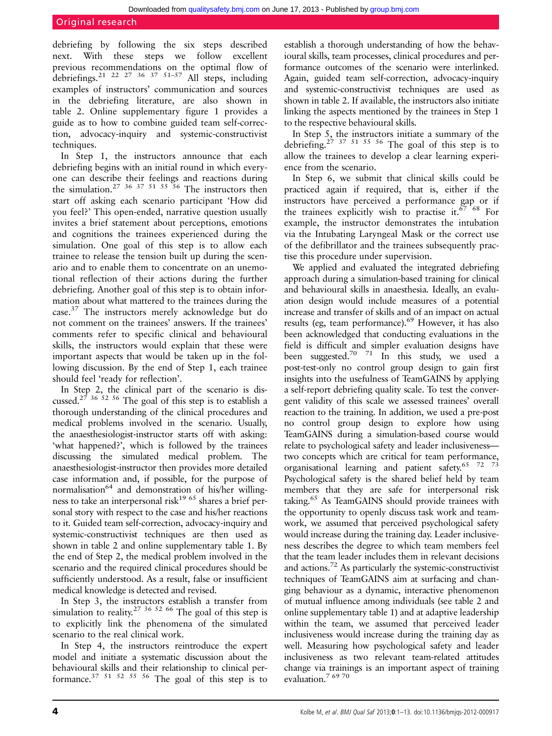debriefing by following the six steps described next. With these steps we follow excellent previous recommendations on the optimal flow of debriefings.<sup>21</sup> <sup>22</sup> <sup>27</sup> <sup>36</sup> <sup>37</sup> <sup>51–57</sup> All steps, including examples of instructors' communication and sources in the debriefing literature, are also shown in table 2. Online supplementary figure 1 provides a guide as to how to combine guided team self-correction, advocacy-inquiry and systemic-constructivist techniques.

In Step 1, the instructors announce that each debriefing begins with an initial round in which everyone can describe their feelings and reactions during the simulation.<sup>27 36 37 51 55 56</sup> The instructors then start off asking each scenario participant 'How did you feel?' This open-ended, narrative question usually invites a brief statement about perceptions, emotions and cognitions the trainees experienced during the simulation. One goal of this step is to allow each trainee to release the tension built up during the scenario and to enable them to concentrate on an unemotional reflection of their actions during the further debriefing. Another goal of this step is to obtain information about what mattered to the trainees during the case.<sup>37</sup> The instructors merely acknowledge but do not comment on the trainees' answers. If the trainees' comments refer to specific clinical and behavioural skills, the instructors would explain that these were important aspects that would be taken up in the following discussion. By the end of Step 1, each trainee should feel 'ready for reflection'.

In Step 2, the clinical part of the scenario is discussed.<sup>27</sup> 36<sup>52 56</sup> The goal of this step is to establish a thorough understanding of the clinical procedures and medical problems involved in the scenario. Usually, the anaesthesiologist-instructor starts off with asking: 'what happened?', which is followed by the trainees discussing the simulated medical problem. The anaesthesiologist-instructor then provides more detailed case information and, if possible, for the purpose of normalisation<sup>64</sup> and demonstration of his/her willingness to take an interpersonal risk<sup>19 65</sup> shares a brief personal story with respect to the case and his/her reactions to it. Guided team self-correction, advocacy-inquiry and systemic-constructivist techniques are then used as shown in table 2 and online supplementary table 1. By the end of Step 2, the medical problem involved in the scenario and the required clinical procedures should be sufficiently understood. As a result, false or insufficient medical knowledge is detected and revised.

In Step 3, the instructors establish a transfer from simulation to reality.<sup>27 36 52 66</sup> The goal of this step is to explicitly link the phenomena of the simulated scenario to the real clinical work.

In Step 4, the instructors reintroduce the expert model and initiate a systematic discussion about the behavioural skills and their relationship to clinical performance. $37$   $51$   $52$   $55$   $56$  The goal of this step is to

establish a thorough understanding of how the behavioural skills, team processes, clinical procedures and performance outcomes of the scenario were interlinked. Again, guided team self-correction, advocacy-inquiry and systemic-constructivist techniques are used as shown in table 2. If available, the instructors also initiate linking the aspects mentioned by the trainees in Step 1 to the respective behavioural skills.

In Step 5, the instructors initiate a summary of the debriefing.<sup>27 37 51 55 56</sup> The goal of this step is to allow the trainees to develop a clear learning experience from the scenario.

In Step 6, we submit that clinical skills could be practiced again if required, that is, either if the instructors have perceived a performance gap or if the trainees explicitly wish to practise it.<sup> $67$  68</sup> For example, the instructor demonstrates the intubation via the Intubating Laryngeal Mask or the correct use of the defibrillator and the trainees subsequently practise this procedure under supervision.

We applied and evaluated the integrated debriefing approach during a simulation-based training for clinical and behavioural skills in anaesthesia. Ideally, an evaluation design would include measures of a potential increase and transfer of skills and of an impact on actual results (eg, team performance).<sup>69</sup> However, it has also been acknowledged that conducting evaluations in the field is difficult and simpler evaluation designs have been suggested.<sup>70 71</sup> In this study, we used a post-test-only no control group design to gain first insights into the usefulness of TeamGAINS by applying a self-report debriefing quality scale. To test the convergent validity of this scale we assessed trainees' overall reaction to the training. In addition, we used a pre-post no control group design to explore how using TeamGAINS during a simulation-based course would relate to psychological safety and leader inclusiveness two concepts which are critical for team performance, organisational learning and patient safety.<sup>65</sup> 72 73 Psychological safety is the shared belief held by team members that they are safe for interpersonal risk taking.65 As TeamGAINS should provide trainees with the opportunity to openly discuss task work and teamwork, we assumed that perceived psychological safety would increase during the training day. Leader inclusiveness describes the degree to which team members feel that the team leader includes them in relevant decisions and actions.72 As particularly the systemic-constructivist techniques of TeamGAINS aim at surfacing and changing behaviour as a dynamic, interactive phenomenon of mutual influence among individuals (see table 2 and online supplementary table 1) and at adaptive leadership within the team, we assumed that perceived leader inclusiveness would increase during the training day as well. Measuring how psychological safety and leader inclusiveness as two relevant team-related attitudes change via trainings is an important aspect of training evaluation.<sup>7 69 70</sup>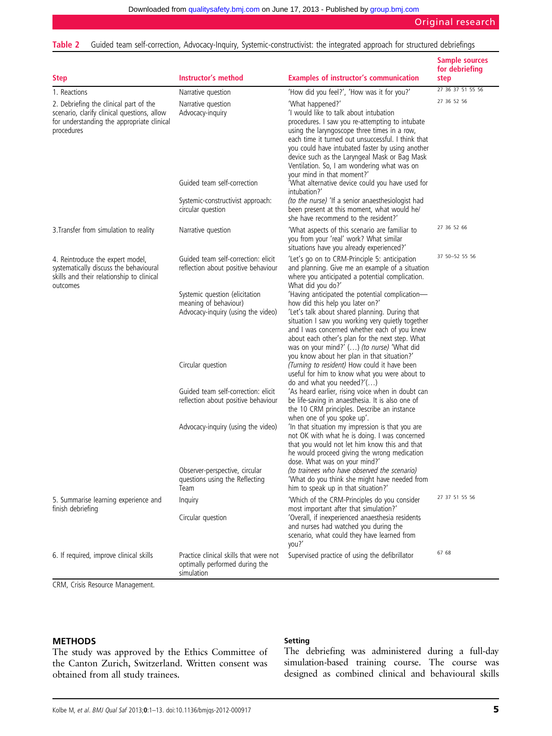Table 2 Guided team self-correction, Advocacy-Inquiry, Systemic-constructivist: the integrated approach for structured debriefings

| <b>Step</b>                                                                                                                                       | Instructor's method                                                                           | <b>Examples of instructor's communication</b>                                                                                                                                                                                                                                                                                                                                                         | <b>Sample sources</b><br>for debriefing<br>step |
|---------------------------------------------------------------------------------------------------------------------------------------------------|-----------------------------------------------------------------------------------------------|-------------------------------------------------------------------------------------------------------------------------------------------------------------------------------------------------------------------------------------------------------------------------------------------------------------------------------------------------------------------------------------------------------|-------------------------------------------------|
| 1. Reactions                                                                                                                                      | Narrative question                                                                            | 'How did you feel?', 'How was it for you?'                                                                                                                                                                                                                                                                                                                                                            | 27 36 37 51 55 56                               |
| 2. Debriefing the clinical part of the<br>scenario, clarify clinical questions, allow<br>for understanding the appropriate clinical<br>procedures | Narrative question<br>Advocacy-inquiry                                                        | 'What happened?'<br>'I would like to talk about intubation<br>procedures. I saw you re-attempting to intubate<br>using the laryngoscope three times in a row,<br>each time it turned out unsuccessful. I think that<br>you could have intubated faster by using another<br>device such as the Laryngeal Mask or Bag Mask<br>Ventilation. So, I am wondering what was on<br>your mind in that moment?' | 27 36 52 56                                     |
|                                                                                                                                                   | Guided team self-correction                                                                   | 'What alternative device could you have used for<br>intubation?'                                                                                                                                                                                                                                                                                                                                      |                                                 |
|                                                                                                                                                   | Systemic-constructivist approach:<br>circular question                                        | (to the nurse) 'If a senior anaesthesiologist had<br>been present at this moment, what would he/<br>she have recommend to the resident?'                                                                                                                                                                                                                                                              |                                                 |
| 3. Transfer from simulation to reality                                                                                                            | Narrative question                                                                            | 'What aspects of this scenario are familiar to<br>you from your 'real' work? What similar<br>situations have you already experienced?'                                                                                                                                                                                                                                                                | 27 36 52 66                                     |
| 4. Reintroduce the expert model,<br>systematically discuss the behavioural<br>skills and their relationship to clinical<br>outcomes               | Guided team self-correction: elicit<br>reflection about positive behaviour                    | 'Let's go on to CRM-Principle 5: anticipation<br>and planning. Give me an example of a situation<br>where you anticipated a potential complication.<br>What did you do?'                                                                                                                                                                                                                              | 37 50 - 52 55 56                                |
|                                                                                                                                                   | Systemic question (elicitation<br>meaning of behaviour)<br>Advocacy-inquiry (using the video) | 'Having anticipated the potential complication-<br>how did this help you later on?'<br>'Let's talk about shared planning. During that<br>situation I saw you working very quietly together<br>and I was concerned whether each of you knew<br>about each other's plan for the next step. What<br>was on your mind?' () (to nurse) 'What did                                                           |                                                 |
|                                                                                                                                                   | Circular question                                                                             | you know about her plan in that situation?'<br>(Turning to resident) How could it have been<br>useful for him to know what you were about to<br>do and what you needed?' $( \ldots )$                                                                                                                                                                                                                 |                                                 |
|                                                                                                                                                   | Guided team self-correction: elicit<br>reflection about positive behaviour                    | 'As heard earlier, rising voice when in doubt can<br>be life-saving in anaesthesia. It is also one of<br>the 10 CRM principles. Describe an instance                                                                                                                                                                                                                                                  |                                                 |
|                                                                                                                                                   | Advocacy-inquiry (using the video)                                                            | when one of you spoke up'.<br>'In that situation my impression is that you are<br>not OK with what he is doing. I was concerned<br>that you would not let him know this and that<br>he would proceed giving the wrong medication<br>dose. What was on your mind?'                                                                                                                                     |                                                 |
|                                                                                                                                                   | Observer-perspective, circular<br>questions using the Reflecting<br>Team                      | (to trainees who have observed the scenario)<br>'What do you think she might have needed from<br>him to speak up in that situation?'                                                                                                                                                                                                                                                                  |                                                 |
| 5. Summarise learning experience and<br>finish debriefing                                                                                         | Inquiry<br>Circular question                                                                  | 'Which of the CRM-Principles do you consider<br>most important after that simulation?'<br>'Overall, if inexperienced anaesthesia residents<br>and nurses had watched you during the<br>scenario, what could they have learned from<br>you?'                                                                                                                                                           | 27 37 51 55 56                                  |
| 6. If required, improve clinical skills                                                                                                           | Practice clinical skills that were not<br>optimally performed during the<br>simulation        | Supervised practice of using the defibrillator                                                                                                                                                                                                                                                                                                                                                        | 67 68                                           |

CRM, Crisis Resource Management.

## METHODS

The study was approved by the Ethics Committee of the Canton Zurich, Switzerland. Written consent was obtained from all study trainees.

# Setting

The debriefing was administered during a full-day simulation-based training course. The course was designed as combined clinical and behavioural skills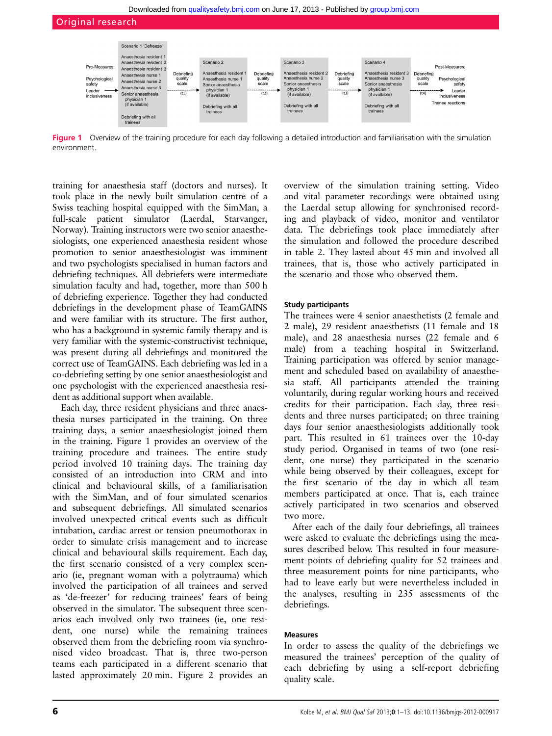

Figure 1 Overview of the training procedure for each day following a detailed introduction and familiarisation with the simulation environment.

training for anaesthesia staff (doctors and nurses). It took place in the newly built simulation centre of a Swiss teaching hospital equipped with the SimMan, a full-scale patient simulator (Laerdal, Starvanger, Norway). Training instructors were two senior anaesthesiologists, one experienced anaesthesia resident whose promotion to senior anaesthesiologist was imminent and two psychologists specialised in human factors and debriefing techniques. All debriefers were intermediate simulation faculty and had, together, more than 500 h of debriefing experience. Together they had conducted debriefings in the development phase of TeamGAINS and were familiar with its structure. The first author, who has a background in systemic family therapy and is very familiar with the systemic-constructivist technique, was present during all debriefings and monitored the correct use of TeamGAINS. Each debriefing was led in a co-debriefing setting by one senior anaesthesiologist and one psychologist with the experienced anaesthesia resident as additional support when available.

Each day, three resident physicians and three anaesthesia nurses participated in the training. On three training days, a senior anaesthesiologist joined them in the training. Figure 1 provides an overview of the training procedure and trainees. The entire study period involved 10 training days. The training day consisted of an introduction into CRM and into clinical and behavioural skills, of a familiarisation with the SimMan, and of four simulated scenarios and subsequent debriefings. All simulated scenarios involved unexpected critical events such as difficult intubation, cardiac arrest or tension pneumothorax in order to simulate crisis management and to increase clinical and behavioural skills requirement. Each day, the first scenario consisted of a very complex scenario (ie, pregnant woman with a polytrauma) which involved the participation of all trainees and served as 'de-freezer' for reducing trainees' fears of being observed in the simulator. The subsequent three scenarios each involved only two trainees (ie, one resident, one nurse) while the remaining trainees observed them from the debriefing room via synchronised video broadcast. That is, three two-person teams each participated in a different scenario that lasted approximately 20 min. Figure 2 provides an

overview of the simulation training setting. Video and vital parameter recordings were obtained using the Laerdal setup allowing for synchronised recording and playback of video, monitor and ventilator data. The debriefings took place immediately after the simulation and followed the procedure described in table 2. They lasted about 45 min and involved all trainees, that is, those who actively participated in the scenario and those who observed them.

# Study participants

The trainees were 4 senior anaesthetists (2 female and 2 male), 29 resident anaesthetists (11 female and 18 male), and 28 anaesthesia nurses (22 female and 6 male) from a teaching hospital in Switzerland. Training participation was offered by senior management and scheduled based on availability of anaesthesia staff. All participants attended the training voluntarily, during regular working hours and received credits for their participation. Each day, three residents and three nurses participated; on three training days four senior anaesthesiologists additionally took part. This resulted in 61 trainees over the 10-day study period. Organised in teams of two (one resident, one nurse) they participated in the scenario while being observed by their colleagues, except for the first scenario of the day in which all team members participated at once. That is, each trainee actively participated in two scenarios and observed two more.

After each of the daily four debriefings, all trainees were asked to evaluate the debriefings using the measures described below. This resulted in four measurement points of debriefing quality for 52 trainees and three measurement points for nine participants, who had to leave early but were nevertheless included in the analyses, resulting in 235 assessments of the debriefings.

# Measures

In order to assess the quality of the debriefings we measured the trainees' perception of the quality of each debriefing by using a self-report debriefing quality scale.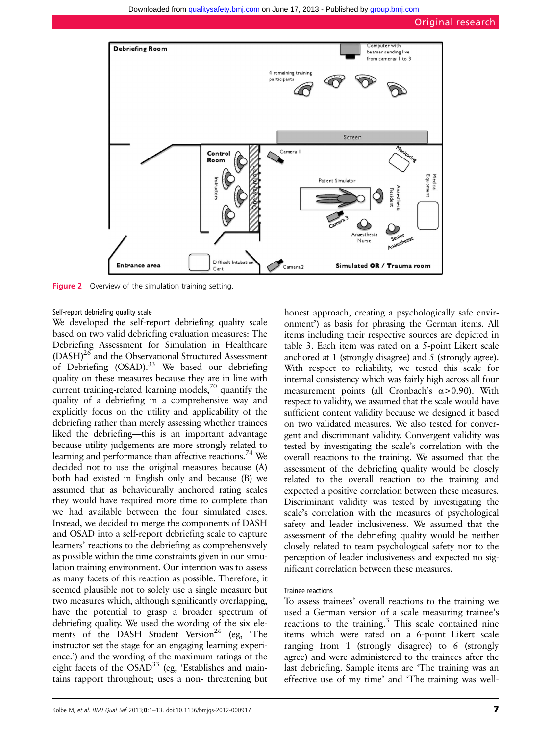

Figure 2 Overview of the simulation training setting.

#### Self-report debriefing quality scale

We developed the self-report debriefing quality scale based on two valid debriefing evaluation measures: The Debriefing Assessment for Simulation in Healthcare  $(DASH)^{26}$  and the Observational Structured Assessment of Debriefing (OSAD).<sup>33</sup> We based our debriefing quality on these measures because they are in line with current training-related learning models,<sup>70</sup> quantify the quality of a debriefing in a comprehensive way and explicitly focus on the utility and applicability of the debriefing rather than merely assessing whether trainees liked the debriefing—this is an important advantage because utility judgements are more strongly related to learning and performance than affective reactions.<sup>74</sup> We decided not to use the original measures because (A) both had existed in English only and because (B) we assumed that as behaviourally anchored rating scales they would have required more time to complete than we had available between the four simulated cases. Instead, we decided to merge the components of DASH and OSAD into a self-report debriefing scale to capture learners' reactions to the debriefing as comprehensively as possible within the time constraints given in our simulation training environment. Our intention was to assess as many facets of this reaction as possible. Therefore, it seemed plausible not to solely use a single measure but two measures which, although significantly overlapping, have the potential to grasp a broader spectrum of debriefing quality. We used the wording of the six elements of the DASH Student Version<sup>26</sup> (eg, 'The instructor set the stage for an engaging learning experience.') and the wording of the maximum ratings of the eight facets of the  $OSAD<sup>33</sup>$  (eg, 'Establishes and maintains rapport throughout; uses a non- threatening but

honest approach, creating a psychologically safe environment') as basis for phrasing the German items. All items including their respective sources are depicted in table 3. Each item was rated on a 5-point Likert scale anchored at 1 (strongly disagree) and 5 (strongly agree). With respect to reliability, we tested this scale for internal consistency which was fairly high across all four measurement points (all Cronbach's  $\alpha$ >0.90). With respect to validity, we assumed that the scale would have sufficient content validity because we designed it based on two validated measures. We also tested for convergent and discriminant validity. Convergent validity was tested by investigating the scale's correlation with the overall reactions to the training. We assumed that the assessment of the debriefing quality would be closely related to the overall reaction to the training and expected a positive correlation between these measures. Discriminant validity was tested by investigating the scale's correlation with the measures of psychological safety and leader inclusiveness. We assumed that the assessment of the debriefing quality would be neither closely related to team psychological safety nor to the perception of leader inclusiveness and expected no significant correlation between these measures.

#### Trainee reactions

To assess trainees' overall reactions to the training we used a German version of a scale measuring trainee's reactions to the training.<sup>3</sup> This scale contained nine items which were rated on a 6-point Likert scale ranging from 1 (strongly disagree) to 6 (strongly agree) and were administered to the trainees after the last debriefing. Sample items are 'The training was an effective use of my time' and 'The training was well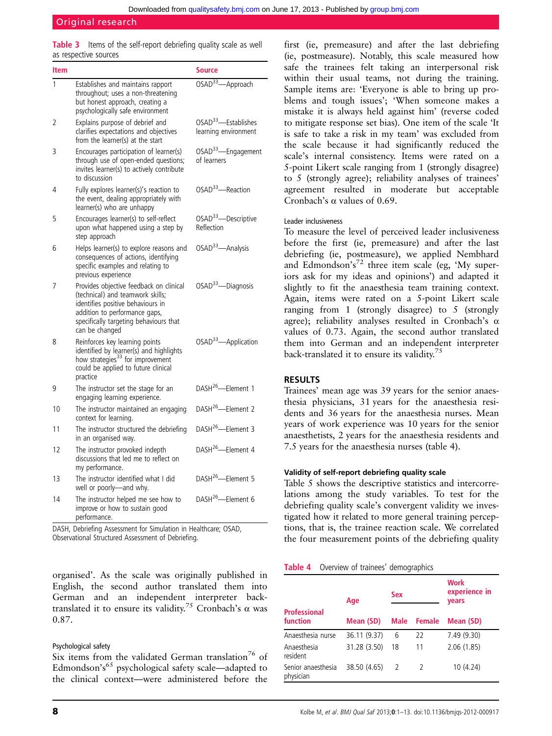**Table 3** Items of the self-report debriefing quality scale as well as respective sources

| <b>Item</b> |                                                                                                                                                                                                               | Source                                                  |
|-------------|---------------------------------------------------------------------------------------------------------------------------------------------------------------------------------------------------------------|---------------------------------------------------------|
| 1           | Establishes and maintains rapport<br>throughout; uses a non-threatening<br>but honest approach, creating a<br>psychologically safe environment                                                                | OSAD <sup>33</sup><br>-Approach                         |
| 2           | Explains purpose of debrief and<br>clarifies expectations and objectives<br>from the learner(s) at the start                                                                                                  | OSAD <sup>33</sup> -Establishes<br>learning environment |
| 3           | Encourages participation of learner(s)<br>through use of open-ended questions;<br>invites learner(s) to actively contribute<br>to discussion                                                                  | OSAD <sup>33</sup> -Engagement<br>of learners           |
| 4           | Fully explores learner(s)'s reaction to<br>the event, dealing appropriately with<br>learner(s) who are unhappy                                                                                                | OSAD <sup>33</sup> -Reaction                            |
| 5           | Encourages learner(s) to self-reflect<br>upon what happened using a step by<br>step approach                                                                                                                  | OSAD <sup>33</sup> -Descriptive<br>Reflection           |
| 6           | Helps learner(s) to explore reasons and<br>consequences of actions, identifying<br>specific examples and relating to<br>previous experience                                                                   | OSAD <sup>33</sup> -Analysis                            |
| 7           | Provides objective feedback on clinical<br>(technical) and teamwork skills;<br>identifies positive behaviours in<br>addition to performance gaps,<br>specifically targeting behaviours that<br>can be changed | OSAD <sup>33</sup> -Diagnosis                           |
| 8           | Reinforces key learning points<br>identified by learner(s) and highlights<br>how strategies <sup>33</sup> for improvement<br>could be applied to future clinical<br>practice                                  | OSAD <sup>33</sup> -Application                         |
| 9           | The instructor set the stage for an<br>engaging learning experience.                                                                                                                                          | DASH <sup>26</sup> -Element 1                           |
| 10          | The instructor maintained an engaging<br>context for learning.                                                                                                                                                | DASH <sup>26</sup> -Element 2                           |
| 11          | The instructor structured the debriefing<br>in an organised way.                                                                                                                                              | DASH <sup>26</sup> -Element 3                           |
| 12          | The instructor provoked indepth<br>discussions that led me to reflect on<br>my performance.                                                                                                                   | DASH <sup>26</sup> -Element 4                           |
| 13          | The instructor identified what I did<br>well or poorly-and why.                                                                                                                                               | DASH <sup>26</sup> -Element 5                           |
| 14          | The instructor helped me see how to<br>improve or how to sustain good<br>performance.                                                                                                                         | DASH <sup>26</sup> -Element 6                           |

DASH, Debriefing Assessment for Simulation in Healthcare; OSAD, Observational Structured Assessment of Debriefing.

organised'. As the scale was originally published in English, the second author translated them into German and an independent interpreter backtranslated it to ensure its validity.<sup>75</sup> Cronbach's α was 0.87.

# Psychological safety

Six items from the validated German translation<sup>76</sup> of Edmondson's<sup>65</sup> psychological safety scale—adapted to the clinical context—were administered before the

first (ie, premeasure) and after the last debriefing (ie, postmeasure). Notably, this scale measured how safe the trainees felt taking an interpersonal risk within their usual teams, not during the training. Sample items are: 'Everyone is able to bring up problems and tough issues'; 'When someone makes a mistake it is always held against him' (reverse coded to mitigate response set bias). One item of the scale 'It is safe to take a risk in my team' was excluded from the scale because it had significantly reduced the scale's internal consistency. Items were rated on a 5-point Likert scale ranging from 1 (strongly disagree) to 5 (strongly agree); reliability analyses of trainees' agreement resulted in moderate but acceptable Cronbach's  $\alpha$  values of 0.69.

## Leader inclusiveness

To measure the level of perceived leader inclusiveness before the first (ie, premeasure) and after the last debriefing (ie, postmeasure), we applied Nembhard and Edmondson's <sup>72</sup> three item scale (eg, 'My superiors ask for my ideas and opinions') and adapted it slightly to fit the anaesthesia team training context. Again, items were rated on a 5-point Likert scale ranging from 1 (strongly disagree) to 5 (strongly agree); reliability analyses resulted in Cronbach's  $\alpha$ values of 0.73. Again, the second author translated them into German and an independent interpreter back-translated it to ensure its validity.<sup>75</sup>

# RESULTS

Trainees' mean age was 39 years for the senior anaesthesia physicians, 31 years for the anaesthesia residents and 36 years for the anaesthesia nurses. Mean years of work experience was 10 years for the senior anaesthetists, 2 years for the anaesthesia residents and 7.5 years for the anaesthesia nurses (table 4).

#### Validity of self-report debriefing quality scale

Table 5 shows the descriptive statistics and intercorrelations among the study variables. To test for the debriefing quality scale's convergent validity we investigated how it related to more general training perceptions, that is, the trainee reaction scale. We correlated the four measurement points of the debriefing quality

#### Table 4 Overview of trainees' demographics

|                                 | Age          | Sex         |               | Work<br>experience in<br><b>vears</b> |
|---------------------------------|--------------|-------------|---------------|---------------------------------------|
| <b>Professional</b><br>function | Mean (SD)    | <b>Male</b> | <b>Female</b> | Mean (SD)                             |
| Anaesthesia nurse               | 36.11 (9.37) | 6           | 22            | 7.49(9.30)                            |
| Anaesthesia<br>resident         | 31.28 (3.50) | 18          | 11            | 2.06(1.85)                            |
| Senior anaesthesia<br>physician | 38.50 (4.65) |             | $\mathfrak z$ | 10 (4.24)                             |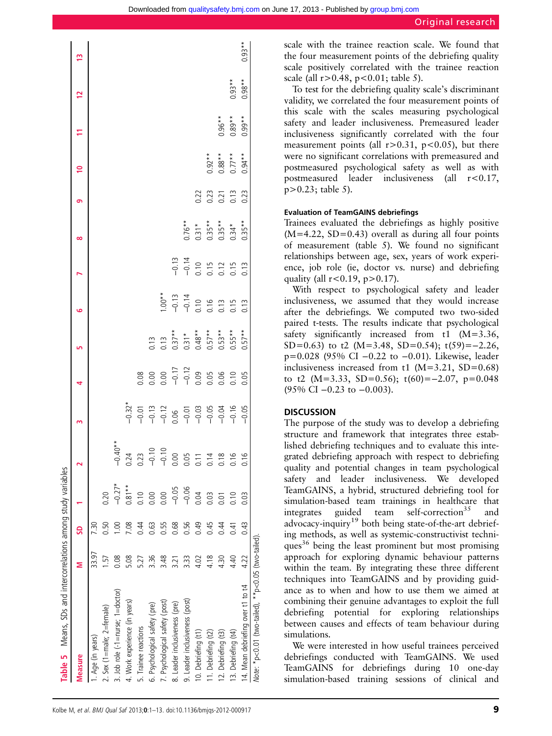| Table 5 Means, SDs and intercorrelations among study variables |       |      |          |                   |                                                                                                                                                                                                                                                                                                                                                      |                                                                                                                                                                                                                                                                        |                                                                                                                                                                                                                                                                                                                              |           |                                                                                                                                                                                                                                                                                                                                                      |                                                          |   |                              |          |          |          |
|----------------------------------------------------------------|-------|------|----------|-------------------|------------------------------------------------------------------------------------------------------------------------------------------------------------------------------------------------------------------------------------------------------------------------------------------------------------------------------------------------------|------------------------------------------------------------------------------------------------------------------------------------------------------------------------------------------------------------------------------------------------------------------------|------------------------------------------------------------------------------------------------------------------------------------------------------------------------------------------------------------------------------------------------------------------------------------------------------------------------------|-----------|------------------------------------------------------------------------------------------------------------------------------------------------------------------------------------------------------------------------------------------------------------------------------------------------------------------------------------------------------|----------------------------------------------------------|---|------------------------------|----------|----------|----------|
| <b>Measure</b>                                                 |       | SD   |          |                   |                                                                                                                                                                                                                                                                                                                                                      | 4                                                                                                                                                                                                                                                                      | m                                                                                                                                                                                                                                                                                                                            | $\bullet$ |                                                                                                                                                                                                                                                                                                                                                      | ∞                                                        | ෨ | ă                            |          | 12       | ≅        |
| . Age (in years)                                               | 33.97 | 7.30 |          |                   |                                                                                                                                                                                                                                                                                                                                                      |                                                                                                                                                                                                                                                                        |                                                                                                                                                                                                                                                                                                                              |           |                                                                                                                                                                                                                                                                                                                                                      |                                                          |   |                              |          |          |          |
| 2. Sex $(1 = male; 2 = female)$                                | 1.57  | 0.50 | 0.20     |                   |                                                                                                                                                                                                                                                                                                                                                      |                                                                                                                                                                                                                                                                        |                                                                                                                                                                                                                                                                                                                              |           |                                                                                                                                                                                                                                                                                                                                                      |                                                          |   |                              |          |          |          |
| 3. Job role (-1=nurse; 1=doctor)                               | 0.08  | S.   | $-0.27*$ | $-0.40**$         |                                                                                                                                                                                                                                                                                                                                                      |                                                                                                                                                                                                                                                                        |                                                                                                                                                                                                                                                                                                                              |           |                                                                                                                                                                                                                                                                                                                                                      |                                                          |   |                              |          |          |          |
| 4. Work experience (in years)                                  | 5.08  |      | $0.81**$ | 0.24              | $-0.32*$                                                                                                                                                                                                                                                                                                                                             |                                                                                                                                                                                                                                                                        |                                                                                                                                                                                                                                                                                                                              |           |                                                                                                                                                                                                                                                                                                                                                      |                                                          |   |                              |          |          |          |
| 5. Trainee reactions                                           | 5.27  | 0.44 | 0.10     | 0.23              |                                                                                                                                                                                                                                                                                                                                                      | 0.08                                                                                                                                                                                                                                                                   |                                                                                                                                                                                                                                                                                                                              |           |                                                                                                                                                                                                                                                                                                                                                      |                                                          |   |                              |          |          |          |
| 6. Psychological safety (pre)                                  | 3.36  | 0.63 | 0.00     | $-0.10$           |                                                                                                                                                                                                                                                                                                                                                      |                                                                                                                                                                                                                                                                        |                                                                                                                                                                                                                                                                                                                              |           |                                                                                                                                                                                                                                                                                                                                                      |                                                          |   |                              |          |          |          |
| 7. Psychological safety (post)                                 | 3.48  | 0.55 | 0.00     | $-0.10$           |                                                                                                                                                                                                                                                                                                                                                      |                                                                                                                                                                                                                                                                        |                                                                                                                                                                                                                                                                                                                              |           |                                                                                                                                                                                                                                                                                                                                                      |                                                          |   |                              |          |          |          |
| 8. Leader inclusiveness (pre)                                  | 3.21  | 0.68 | $-0.05$  | 0.00              |                                                                                                                                                                                                                                                                                                                                                      |                                                                                                                                                                                                                                                                        |                                                                                                                                                                                                                                                                                                                              |           |                                                                                                                                                                                                                                                                                                                                                      |                                                          |   |                              |          |          |          |
| 9. Leader inclusiveness (post)                                 | 3.33  | 0.56 | $-0.06$  | 0.05              |                                                                                                                                                                                                                                                                                                                                                      |                                                                                                                                                                                                                                                                        |                                                                                                                                                                                                                                                                                                                              |           |                                                                                                                                                                                                                                                                                                                                                      |                                                          |   |                              |          |          |          |
| 10. Debriefing (t1)                                            | 4.02  | 0.49 | 0.04     | $\overline{0.11}$ |                                                                                                                                                                                                                                                                                                                                                      |                                                                                                                                                                                                                                                                        |                                                                                                                                                                                                                                                                                                                              |           |                                                                                                                                                                                                                                                                                                                                                      |                                                          |   |                              |          |          |          |
| 11. Debriefing (t2)                                            | 4.18  | 0.45 | 0.03     | 0.14              |                                                                                                                                                                                                                                                                                                                                                      |                                                                                                                                                                                                                                                                        |                                                                                                                                                                                                                                                                                                                              |           |                                                                                                                                                                                                                                                                                                                                                      |                                                          |   | $0.92**$                     |          |          |          |
| 12. Debriefing (t3)                                            | 4.30  | 0.44 | 0.01     | 0.18              | $\begin{array}{cccc}\n-0.01 \\ -0.12 \\ -0.06 \\ -0.05 \\ -0.07 \\ -0.07 \\ -0.04 \\ -0.04 \\ -0.04 \\ -0.04 \\ -0.04 \\ -0.04 \\ -0.04 \\ -0.04 \\ -0.04 \\ -0.04 \\ -0.04 \\ -0.04 \\ -0.04 \\ -0.04 \\ -0.04 \\ -0.04 \\ -0.04 \\ -0.04 \\ -0.04 \\ -0.04 \\ -0.04 \\ -0.04 \\ -0.04 \\ -0.04 \\ -0.04 \\ -0.04 \\ -0.04 \\ -0.04 \\ -0.04 \\ -0$ | $\begin{array}{c} 0.000\\ 0.000\\ 0.01\\ -0.12\\ 0.000\\ 0.000\\ 0.000\\ 0.000\\ 0.000\\ 0.000\\ 0.000\\ 0.000\\ 0.000\\ 0.000\\ 0.000\\ 0.000\\ 0.000\\ 0.000\\ 0.000\\ 0.000\\ 0.000\\ 0.000\\ 0.000\\ 0.000\\ 0.000\\ 0.000\\ 0.000\\ 0.000\\ 0.000\\ 0.000\\ 0.00$ | $\begin{array}{ll} 0.13 \\ 0.13 \\ 0.37 {~} * \\ 0.37 {~} * \\ 0.48 {~} * \\ 0.55 {~} * \\ 0.55 {~} * \\ 0.55 {~} * \\ 0.57 {~} * \\ 0.57 {~} * \\ 0.57 {~} * \\ 0.57 {~} * \\ 0.57 {~} * \\ 0.57 {~} * \\ 0.57 {~} * \\ 0.57 {~} * \\ 0.57 {~} * \\ 0.57 {~} * \\ 0.57 {~} * \\ 0.57 {~} * \\ 0.57 {~} * \\ 0.57 {~} * \\ $ |           | $\begin{array}{cccc}\n-0.13 \\ -0.14 \\ -0.15 \\ -0.05 \\ -0.01 \\ -0.01 \\ -0.01 \\ -0.01 \\ -0.01 \\ -0.01 \\ -0.01 \\ -0.01 \\ -0.01 \\ -0.01 \\ -0.01 \\ -0.01 \\ -0.01 \\ -0.01 \\ -0.01 \\ -0.01 \\ -0.01 \\ -0.01 \\ -0.01 \\ -0.01 \\ -0.01 \\ -0.01 \\ -0.01 \\ -0.01 \\ -0.01 \\ -0.01 \\ -0.01 \\ -0.01 \\ -0.01 \\ -0.01 \\ -0.01 \\ -0$ | $0.76**$<br>$0.31**$<br>$0.35**$<br>$0.35**$<br>$0.35**$ |   |                              | $0.96**$ |          |          |
| 13. Debriefing (t4)                                            | 4.40  | 0.41 | 0.10     | 0.16              |                                                                                                                                                                                                                                                                                                                                                      |                                                                                                                                                                                                                                                                        |                                                                                                                                                                                                                                                                                                                              |           |                                                                                                                                                                                                                                                                                                                                                      |                                                          |   | $0.88**$<br>0.77**<br>0.94** | $0.89**$ | $0.93**$ |          |
| 14. Mean debriefing over t1 to t4                              | 4.22  | 0.43 | 0.03     |                   | $-0.05$                                                                                                                                                                                                                                                                                                                                              | 0.05                                                                                                                                                                                                                                                                   |                                                                                                                                                                                                                                                                                                                              |           |                                                                                                                                                                                                                                                                                                                                                      |                                                          |   |                              | $0.99**$ | $0.98**$ | $0.93**$ |
| Note: *p<0.01 (two-tailed), **p<0.05 (two-tailed)              |       |      |          |                   |                                                                                                                                                                                                                                                                                                                                                      |                                                                                                                                                                                                                                                                        |                                                                                                                                                                                                                                                                                                                              |           |                                                                                                                                                                                                                                                                                                                                                      |                                                          |   |                              |          |          |          |

scale with the trainee reaction scale. We found that the four measurement points of the debriefing quality scale positively correlated with the trainee reaction scale (all  $r > 0.48$ ,  $p < 0.01$ ; table 5).

To test for the debriefing quality scale's discriminant validity, we correlated the four measurement points of this scale with the scales measuring psychological safety and leader inclusiveness. Premeasured leader inclusiveness significantly correlated with the four measurement points (all  $r > 0.31$ ,  $p < 0.05$ ), but there were no significant correlations with premeasured and postmeasured psychological safety as well as with postmeasured leader inclusiveness (all r<0.17, p>0.23; table 5).

# Evaluation of TeamGAINS debriefings

Trainees evaluated the debriefings as highly positive  $(M=4.22, SD=0.43)$  overall as during all four points of measurement (table 5). We found no significant relationships between age, sex, years of work experience, job role (ie, doctor vs. nurse) and debriefing quality (all  $r < 0.19$ ,  $p > 0.17$ ).

With respect to psychological safety and leader inclusiveness, we assumed that they would increase after the debriefings. We computed two two-sided paired t-tests. The results indicate that psychological safety significantly increased from t1 (M=3.36, SD=0.63) to t2 (M=3.48, SD=0.54); t(59)= $-2.26$ , p=0.028 (95% CI −0.22 to −0.01). Likewise, leader inclusiveness increased from  $t1$  (M=3.21, SD=0.68) to t2 (M=3.33, SD=0.56); t(60)=−2.07, p=0.048  $(95\% \text{ CI} - 0.23 \text{ to } -0.003)$ .

# **DISCUSSION**

The purpose of the study was to develop a debriefing structure and framework that integrates three established debriefing techniques and to evaluate this integrated debriefing approach with respect to debriefing quality and potential changes in team psychological safety and leader inclusiveness. We developed TeamGAINS, a hybrid, structured debriefing tool for simulation-based team trainings in healthcare that integrates guided team self-correction<sup>35</sup> and advocacy-inquiry<sup>19</sup> both being state-of-the-art debriefing methods, as well as systemic-constructivist techniques<sup>36</sup> being the least prominent but most promising approach for exploring dynamic behaviour patterns within the team. By integrating these three different techniques into TeamGAINS and by providing guidance as to when and how to use them we aimed at combining their genuine advantages to exploit the full debriefing potential for exploring relationships between causes and effects of team behaviour during simulations.

We were interested in how useful trainees perceived debriefings conducted with TeamGAINS. We used TeamGAINS for debriefings during 10 one-day simulation-based training sessions of clinical and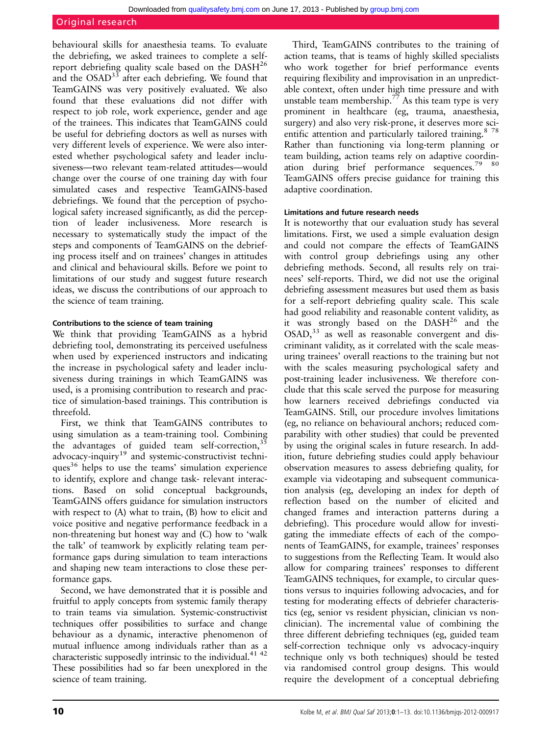behavioural skills for anaesthesia teams. To evaluate the debriefing, we asked trainees to complete a selfreport debriefing quality scale based on the  $DASH^{26}$ and the OSAD<sup>33</sup> after each debriefing. We found that TeamGAINS was very positively evaluated. We also found that these evaluations did not differ with respect to job role, work experience, gender and age of the trainees. This indicates that TeamGAINS could be useful for debriefing doctors as well as nurses with very different levels of experience. We were also interested whether psychological safety and leader inclusiveness—two relevant team-related attitudes—would change over the course of one training day with four simulated cases and respective TeamGAINS-based debriefings. We found that the perception of psychological safety increased significantly, as did the perception of leader inclusiveness. More research is necessary to systematically study the impact of the steps and components of TeamGAINS on the debriefing process itself and on trainees' changes in attitudes and clinical and behavioural skills. Before we point to limitations of our study and suggest future research ideas, we discuss the contributions of our approach to the science of team training.

#### Contributions to the science of team training

We think that providing TeamGAINS as a hybrid debriefing tool, demonstrating its perceived usefulness when used by experienced instructors and indicating the increase in psychological safety and leader inclusiveness during trainings in which TeamGAINS was used, is a promising contribution to research and practice of simulation-based trainings. This contribution is threefold.

First, we think that TeamGAINS contributes to using simulation as a team-training tool. Combining the advantages of guided team self-correction,<sup>35</sup> advocacy-inquiry<sup>19</sup> and systemic-constructivist techniques<sup>36</sup> helps to use the teams' simulation experience to identify, explore and change task- relevant interactions. Based on solid conceptual backgrounds, TeamGAINS offers guidance for simulation instructors with respect to (A) what to train, (B) how to elicit and voice positive and negative performance feedback in a non-threatening but honest way and (C) how to 'walk the talk' of teamwork by explicitly relating team performance gaps during simulation to team interactions and shaping new team interactions to close these performance gaps.

Second, we have demonstrated that it is possible and fruitful to apply concepts from systemic family therapy to train teams via simulation. Systemic-constructivist techniques offer possibilities to surface and change behaviour as a dynamic, interactive phenomenon of mutual influence among individuals rather than as a characteristic supposedly intrinsic to the individual.<sup>41 42</sup> These possibilities had so far been unexplored in the science of team training.

Third, TeamGAINS contributes to the training of action teams, that is teams of highly skilled specialists who work together for brief performance events requiring flexibility and improvisation in an unpredictable context, often under high time pressure and with unstable team membership.<sup>77</sup> As this team type is very prominent in healthcare (eg, trauma, anaesthesia, surgery) and also very risk-prone, it deserves more scientific attention and particularly tailored training.<sup>8</sup> 78 Rather than functioning via long-term planning or team building, action teams rely on adaptive coordination during brief performance sequences.79 80 TeamGAINS offers precise guidance for training this adaptive coordination.

## Limitations and future research needs

It is noteworthy that our evaluation study has several limitations. First, we used a simple evaluation design and could not compare the effects of TeamGAINS with control group debriefings using any other debriefing methods. Second, all results rely on trainees' self-reports. Third, we did not use the original debriefing assessment measures but used them as basis for a self-report debriefing quality scale. This scale had good reliability and reasonable content validity, as it was strongly based on the  $DASH^{26}$  and the  $OSAD<sub>33</sub>$  as well as reasonable convergent and discriminant validity, as it correlated with the scale measuring trainees' overall reactions to the training but not with the scales measuring psychological safety and post-training leader inclusiveness. We therefore conclude that this scale served the purpose for measuring how learners received debriefings conducted via TeamGAINS. Still, our procedure involves limitations (eg, no reliance on behavioural anchors; reduced comparability with other studies) that could be prevented by using the original scales in future research. In addition, future debriefing studies could apply behaviour observation measures to assess debriefing quality, for example via videotaping and subsequent communication analysis (eg, developing an index for depth of reflection based on the number of elicited and changed frames and interaction patterns during a debriefing). This procedure would allow for investigating the immediate effects of each of the components of TeamGAINS, for example, trainees' responses to suggestions from the Reflecting Team. It would also allow for comparing trainees' responses to different TeamGAINS techniques, for example, to circular questions versus to inquiries following advocacies, and for testing for moderating effects of debriefer characteristics (eg, senior vs resident physician, clinician vs nonclinician). The incremental value of combining the three different debriefing techniques (eg, guided team self-correction technique only vs advocacy-inquiry technique only vs both techniques) should be tested via randomised control group designs. This would require the development of a conceptual debriefing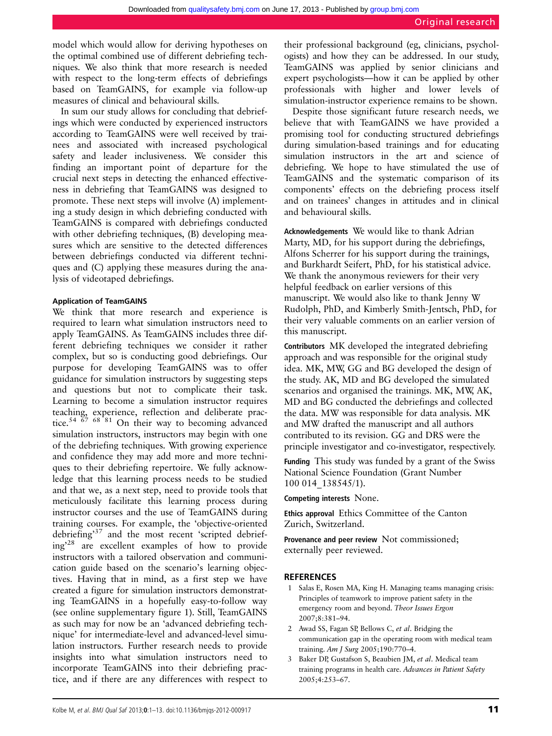model which would allow for deriving hypotheses on the optimal combined use of different debriefing techniques. We also think that more research is needed with respect to the long-term effects of debriefings based on TeamGAINS, for example via follow-up measures of clinical and behavioural skills.

In sum our study allows for concluding that debriefings which were conducted by experienced instructors according to TeamGAINS were well received by trainees and associated with increased psychological safety and leader inclusiveness. We consider this finding an important point of departure for the crucial next steps in detecting the enhanced effectiveness in debriefing that TeamGAINS was designed to promote. These next steps will involve (A) implementing a study design in which debriefing conducted with TeamGAINS is compared with debriefings conducted with other debriefing techniques, (B) developing measures which are sensitive to the detected differences between debriefings conducted via different techniques and (C) applying these measures during the analysis of videotaped debriefings.

#### Application of TeamGAINS

We think that more research and experience is required to learn what simulation instructors need to apply TeamGAINS. As TeamGAINS includes three different debriefing techniques we consider it rather complex, but so is conducting good debriefings. Our purpose for developing TeamGAINS was to offer guidance for simulation instructors by suggesting steps and questions but not to complicate their task. Learning to become a simulation instructor requires teaching, experience, reflection and deliberate practice.<sup>54  $\bar{6}$ 7  $\bar{6}$ 8  $\bar{8}$ 1 On their way to becoming advanced</sup> simulation instructors, instructors may begin with one of the debriefing techniques. With growing experience and confidence they may add more and more techniques to their debriefing repertoire. We fully acknowledge that this learning process needs to be studied and that we, as a next step, need to provide tools that meticulously facilitate this learning process during instructor courses and the use of TeamGAINS during training courses. For example, the 'objective-oriented debriefing' <sup>37</sup> and the most recent 'scripted debriefing' <sup>28</sup> are excellent examples of how to provide instructors with a tailored observation and communication guide based on the scenario's learning objectives. Having that in mind, as a first step we have created a figure for simulation instructors demonstrating TeamGAINS in a hopefully easy-to-follow way (see online supplementary figure 1). Still, TeamGAINS as such may for now be an 'advanced debriefing technique' for intermediate-level and advanced-level simulation instructors. Further research needs to provide insights into what simulation instructors need to incorporate TeamGAINS into their debriefing practice, and if there are any differences with respect to

their professional background (eg, clinicians, psychologists) and how they can be addressed. In our study, TeamGAINS was applied by senior clinicians and expert psychologists—how it can be applied by other professionals with higher and lower levels of simulation-instructor experience remains to be shown.

Despite those significant future research needs, we believe that with TeamGAINS we have provided a promising tool for conducting structured debriefings during simulation-based trainings and for educating simulation instructors in the art and science of debriefing. We hope to have stimulated the use of TeamGAINS and the systematic comparison of its components' effects on the debriefing process itself and on trainees' changes in attitudes and in clinical and behavioural skills.

Acknowledgements We would like to thank Adrian Marty, MD, for his support during the debriefings, Alfons Scherrer for his support during the trainings, and Burkhardt Seifert, PhD, for his statistical advice. We thank the anonymous reviewers for their very helpful feedback on earlier versions of this manuscript. We would also like to thank Jenny W Rudolph, PhD, and Kimberly Smith-Jentsch, PhD, for their very valuable comments on an earlier version of this manuscript.

Contributors MK developed the integrated debriefing approach and was responsible for the original study idea. MK, MW, GG and BG developed the design of the study. AK, MD and BG developed the simulated scenarios and organised the trainings. MK, MW, AK, MD and BG conducted the debriefings and collected the data. MW was responsible for data analysis. MK and MW drafted the manuscript and all authors contributed to its revision. GG and DRS were the principle investigator and co-investigator, respectively.

Funding This study was funded by a grant of the Swiss National Science Foundation (Grant Number 100 014\_138545/1).

Competing interests None.

Ethics approval Ethics Committee of the Canton Zurich, Switzerland.

Provenance and peer review Not commissioned; externally peer reviewed.

#### **REFERENCES**

- 1 Salas E, Rosen MA, King H. Managing teams managing crisis: Principles of teamwork to improve patient safety in the emergency room and beyond. Theor Issues Ergon 2007;8:381–94.
- 2 Awad SS, Fagan SP, Bellows C, et al. Bridging the communication gap in the operating room with medical team training. Am J Surg 2005;190:770-4.
- 3 Baker DP, Gustafson S, Beaubien JM, et al. Medical team training programs in health care. Advances in Patient Safety 2005;4:253–67.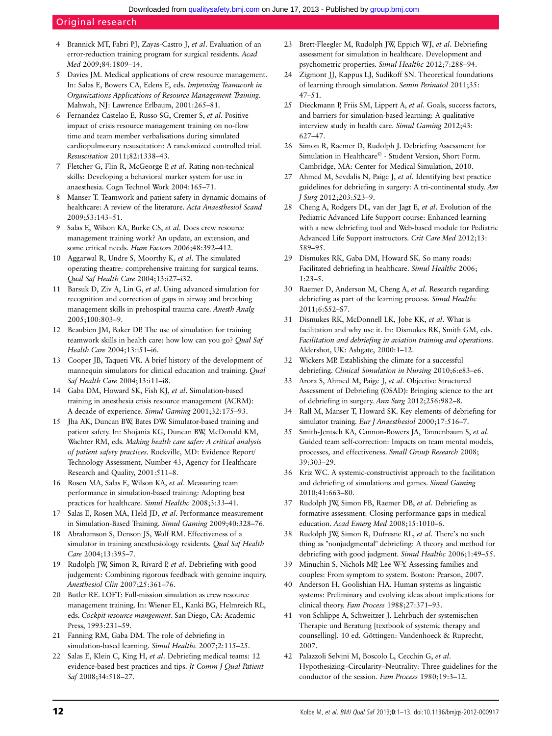- 4 Brannick MT, Fabri PJ, Zayas-Castro J, et al. Evaluation of an error-reduction training program for surgical residents. Acad Med 2009;84:1809–14.
- 5 Davies JM. Medical applications of crew resource management. In: Salas E, Bowers CA, Edens E, eds. Improving Teamwork in Organizations Applications of Resource Management Training. Mahwah, NJ: Lawrence Erlbaum, 2001:265–81.
- 6 Fernandez Castelao E, Russo SG, Cremer S, et al. Positive impact of crisis resource management training on no-flow time and team member verbalisations during simulated cardiopulmonary resuscitation: A randomized controlled trial. Resuscitation 2011;82:1338–43.
- 7 Fletcher G, Flin R, McGeorge P, et al. Rating non-technical skills: Developing a behavioral marker system for use in anaesthesia. Cogn Technol Work 2004:165–71.
- 8 Manser T. Teamwork and patient safety in dynamic domains of healthcare: A review of the literature. Acta Anaesthesiol Scand 2009;53:143–51.
- 9 Salas E, Wilson KA, Burke CS, et al. Does crew resource management training work? An update, an extension, and some critical needs. Hum Factors 2006;48:392–412.
- 10 Aggarwal R, Undre S, Moorthy K, et al. The simulated operating theatre: comprehensive training for surgical teams. Qual Saf Health Care 2004;13:i27–i32.
- 11 Barsuk D, Ziv A, Lin G, et al. Using advanced simulation for recognition and correction of gaps in airway and breathing management skills in prehospital trauma care. Anesth Analg 2005;100:803–9.
- 12 Beaubien JM, Baker DP. The use of simulation for training teamwork skills in health care: how low can you go? Qual Saf Health Care 2004;13:i51–i6.
- 13 Cooper JB, Taqueti VR. A brief history of the development of mannequin simulators for clinical education and training. Qual Saf Health Care 2004;13:i11–i8.
- 14 Gaba DM, Howard SK, Fish KJ, et al. Simulation-based training in anesthesia crisis resource management (ACRM): A decade of experience. Simul Gaming 2001;32:175–93.
- 15 Jha AK, Duncan BW, Bates DW. Simulator-based training and patient safety. In: Shojania KG, Duncan BW, McDonald KM, Wachter RM, eds. Making health care safer: A critical analysis of patient safety practices. Rockville, MD: Evidence Report/ Technology Assessment, Number 43, Agency for Healthcare Research and Quality, 2001:511–8.
- 16 Rosen MA, Salas E, Wilson KA, et al. Measuring team performance in simulation-based training: Adopting best practices for healthcare. Simul Healthc 2008;3:33–41.
- 17 Salas E, Rosen MA, Held JD, et al. Performance measurement in Simulation-Based Training. Simul Gaming 2009;40:328–76.
- 18 Abrahamson S, Denson JS, Wolf RM. Effectiveness of a simulator in training anesthesiology residents. Qual Saf Health Care 2004;13:395–7.
- 19 Rudolph JW, Simon R, Rivard P, et al. Debriefing with good judgement: Combining rigorous feedback with genuine inquiry. Anesthesiol Clin 2007;25:361–76.
- 20 Butler RE. LOFT: Full-mission simulation as crew resource management training. In: Wiener EL, Kanki BG, Helmreich RL, eds. Cockpit resource mangement. San Diego, CA: Academic Press, 1993:231–59.
- 21 Fanning RM, Gaba DM. The role of debriefing in simulation-based learning. Simul Healthc 2007;2:115–25.
- 22 Salas E, Klein C, King H, et al. Debriefing medical teams: 12 evidence-based best practices and tips. Jt Comm J Qual Patient Saf 2008;34:518–27.
- 23 Brett-Fleegler M, Rudolph JW, Eppich WJ, et al. Debriefing assessment for simulation in healthcare. Development and psychometric properties. Simul Healthc 2012;7:288–94.
- 24 Zigmont JJ, Kappus LJ, Sudikoff SN. Theoretical foundations of learning through simulation. Semin Perinatol 2011;35: 47–51.
- 25 Dieckmann P, Friis SM, Lippert A, et al. Goals, success factors, and barriers for simulation-based learning: A qualitative interview study in health care. Simul Gaming 2012;43: 627–47.
- 26 Simon R, Raemer D, Rudolph J. Debriefing Assessment for Simulation in Healthcare© - Student Version, Short Form. Cambridge, MA: Center for Medical Simulation, 2010.
- 27 Ahmed M, Sevdalis N, Paige J, et al. Identifying best practice guidelines for debriefing in surgery: A tri-continental study. Am J Surg 2012;203:523–9.
- 28 Cheng A, Rodgers DL, van der Jagt E, et al. Evolution of the Pediatric Advanced Life Support course: Enhanced learning with a new debriefing tool and Web-based module for Pediatric Advanced Life Support instructors. Crit Care Med 2012;13: 589–95.
- 29 Dismukes RK, Gaba DM, Howard SK. So many roads: Facilitated debriefing in healthcare. Simul Healthc 2006; 1:23–5.
- 30 Raemer D, Anderson M, Cheng A, et al. Research regarding debriefing as part of the learning process. Simul Healthc 2011;6:S52–S7.
- 31 Dismukes RK, McDonnell LK, Jobe KK, et al. What is facilitation and why use it. In: Dismukes RK, Smith GM, eds. Facilitation and debriefing in aviation training and operations. Aldershot, UK: Ashgate, 2000:1–12.
- 32 Wickers MP. Establishing the climate for a successful debriefing. Clinical Simulation in Nursing 2010;6:e83–e6.
- 33 Arora S, Ahmed M, Paige J, et al. Objective Structured Assessment of Debriefing (OSAD): Bringing science to the art of debriefing in surgery. Ann Surg 2012;256:982–8.
- 34 Rall M, Manser T, Howard SK. Key elements of debriefing for simulator training. Eur J Anaesthesiol 2000;17:516-7.
- 35 Smith-Jentsch KA, Cannon-Bowers JA, Tannenbaum S, et al. Guided team self-correction: Impacts on team mental models, processes, and effectiveness. Small Group Research 2008; 39:303–29.
- 36 Kriz WC. A systemic-constructivist approach to the facilitation and debriefing of simulations and games. Simul Gaming 2010;41:663–80.
- 37 Rudolph JW, Simon FB, Raemer DB, et al. Debriefing as formative assessment: Closing performance gaps in medical education. Acad Emerg Med 2008;15:1010–6.
- 38 Rudolph JW, Simon R, Dufresne RL, et al. There's no such thing as "nonjudgmental" debriefing: A theory and method for debriefing with good judgment. Simul Healthc 2006;1:49–55.
- 39 Minuchin S, Nichols MP, Lee W-Y. Assessing families and couples: From symptom to system. Boston: Pearson, 2007.
- 40 Anderson H, Goolishian HA. Human systems as linguistic systems: Preliminary and evolving ideas about implications for clinical theory. Fam Process 1988;27:371–93.
- 41 von Schlippe A, Schweitzer J. Lehrbuch der systemischen Therapie und Beratung [textbook of systemic therapy and counselling]. 10 ed. Göttingen: Vandenhoeck & Ruprecht, 2007.
- 42 Palazzoli Selvini M, Boscolo L, Cecchin G, et al. Hypothesizing–Circularity–Neutrality: Three guidelines for the conductor of the session. Fam Process 1980;19:3–12.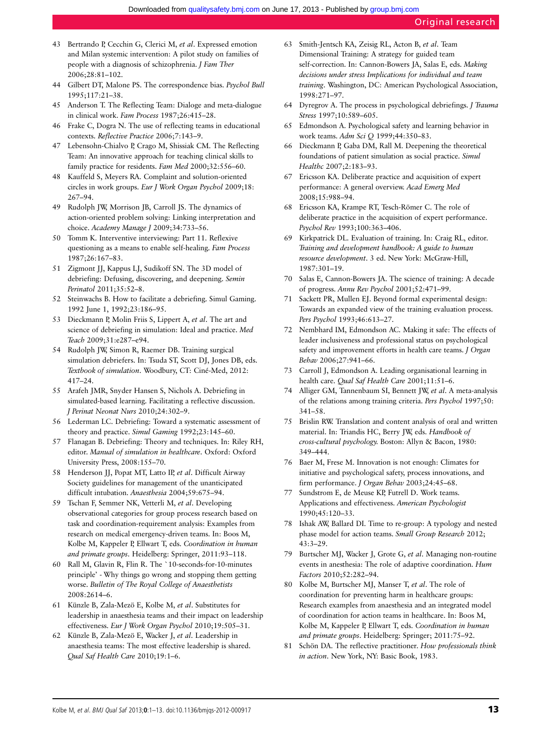- 43 Bertrando P, Cecchin G, Clerici M, et al. Expressed emotion and Milan systemic intervention: A pilot study on families of people with a diagnosis of schizophrenia. J Fam Ther 2006;28:81–102.
- 44 Gilbert DT, Malone PS. The correspondence bias. Psychol Bull 1995;117:21–38.
- 45 Anderson T. The Reflecting Team: Dialoge and meta-dialogue in clinical work. Fam Process 1987;26:415–28.
- 46 Frake C, Dogra N. The use of reflecting teams in educational contexts. Reflective Practice 2006;7:143–9.
- 47 Lebensohn-Chialvo P, Crago M, Shissiak CM. The Reflecting Team: An innovative approach for teaching clinical skills to family practice for residents. Fam Med 2000;32:556-60.
- 48 Kauffeld S, Meyers RA. Complaint and solution-oriented circles in work groups. Eur J Work Organ Psychol 2009;18: 267–94.
- 49 Rudolph JW, Morrison JB, Carroll JS. The dynamics of action-oriented problem solving: Linking interpretation and choice. Academy Manage J 2009;34:733–56.
- 50 Tomm K. Interventive interviewing: Part 11. Reflexive questioning as a means to enable self-healing. Fam Process 1987;26:167–83.
- 51 Zigmont JJ, Kappus LJ, Sudikoff SN. The 3D model of debriefing: Defusing, discovering, and deepening. Semin Perinatol 2011;35:52–8.
- 52 Steinwachs B. How to facilitate a debriefing. Simul Gaming. 1992 June 1, 1992;23:186–95.
- 53 Dieckmann P, Molin Friis S, Lippert A, et al. The art and science of debriefing in simulation: Ideal and practice. Med Teach 2009;31:e287–e94.
- 54 Rudolph JW, Simon R, Raemer DB. Training surgical simulation debriefers. In: Tsuda ST, Scott DJ, Jones DB, eds. Textbook of simulation. Woodbury, CT: Ciné-Med, 2012: 417–24.
- 55 Arafeh JMR, Snyder Hansen S, Nichols A. Debriefing in simulated-based learning. Facilitating a reflective discussion. J Perinat Neonat Nurs 2010;24:302–9.
- 56 Lederman LC. Debriefing: Toward a systematic assessment of theory and practice. Simul Gaming 1992;23:145–60.
- 57 Flanagan B. Debriefing: Theory and techniques. In: Riley RH, editor. Manual of simulation in healthcare. Oxford: Oxford University Press, 2008:155–70.
- 58 Henderson JJ, Popat MT, Latto IP, et al. Difficult Airway Society guidelines for management of the unanticipated difficult intubation. Anaesthesia 2004;59:675–94.
- 59 Tschan F, Semmer NK, Vetterli M, et al. Developing observational categories for group process research based on task and coordination-requirement analysis: Examples from research on medical emergency-driven teams. In: Boos M, Kolbe M, Kappeler P, Ellwart T, eds. Coordination in human and primate groups. Heidelberg: Springer, 2011:93–118.
- 60 Rall M, Glavin R, Flin R. The `10-seconds-for-10-minutes principle' - Why things go wrong and stopping them getting worse. Bulletin of The Royal College of Anaesthetists 2008:2614–6.
- 61 Künzle B, Zala-Mezö E, Kolbe M, et al. Substitutes for leadership in anaesthesia teams and their impact on leadership effectiveness. Eur J Work Organ Psychol 2010;19:505–31.
- 62 Künzle B, Zala-Mezö E, Wacker J, et al. Leadership in anaesthesia teams: The most effective leadership is shared. Qual Saf Health Care 2010;19:1–6.
- 63 Smith-Jentsch KA, Zeisig RL, Acton B, et al. Team Dimensional Training: A strategy for guided team self-correction. In: Cannon-Bowers JA, Salas E, eds. Making decisions under stress Implications for individual and team training. Washington, DC: American Psychological Association, 1998:271–97.
- 64 Dyregrov A. The process in psychological debriefings. J Trauma Stress 1997;10:589–605.
- 65 Edmondson A. Psychological safety and learning behavior in work teams. Adm Sci Q 1999;44:350–83.
- 66 Dieckmann P, Gaba DM, Rall M. Deepening the theoretical foundations of patient simulation as social practice. Simul Healthc 2007;2:183–93.
- 67 Ericsson KA. Deliberate practice and acquisition of expert performance: A general overview. Acad Emerg Med 2008;15:988–94.
- 68 Ericsson KA, Krampe RT, Tesch-Römer C. The role of deliberate practice in the acquisition of expert performance. Psychol Rev 1993;100:363–406.
- 69 Kirkpatrick DL. Evaluation of training. In: Craig RL, editor. Training and development handbook: A guide to human resource development. 3 ed. New York: McGraw-Hill, 1987:301–19.
- 70 Salas E, Cannon-Bowers JA. The science of training: A decade of progress. Annu Rev Psychol 2001;52:471–99.
- 71 Sackett PR, Mullen EJ. Beyond formal experimental design: Towards an expanded view of the training evaluation process. Pers Psychol 1993;46:613–27.
- 72 Nembhard IM, Edmondson AC. Making it safe: The effects of leader inclusiveness and professional status on psychological safety and improvement efforts in health care teams. J Organ Behav 2006;27:941–66.
- 73 Carroll J, Edmondson A. Leading organisational learning in health care. Qual Saf Health Care 2001;11:51-6.
- 74 Alliger GM, Tannenbaum SI, Bennett JW, et al. A meta-analysis of the relations among training criteria. Pers Psychol 1997;50: 341–58.
- 75 Brislin RW. Translation and content analysis of oral and written material. In: Triandis HC, Berry JW, eds. Handbook of cross-cultural psychology. Boston: Allyn & Bacon, 1980: 349–444.
- 76 Baer M, Frese M. Innovation is not enough: Climates for initiative and psychological safety, process innovations, and firm performance. J Organ Behav 2003;24:45–68.
- 77 Sundstrom E, de Meuse KP, Futrell D. Work teams. Applications and effectiveness. American Psychologist 1990;45:120–33.
- 78 Ishak AW, Ballard DI. Time to re-group: A typology and nested phase model for action teams. Small Group Research 2012; 43:3–29.
- 79 Burtscher MJ, Wacker J, Grote G, et al. Managing non-routine events in anesthesia: The role of adaptive coordination. Hum Factors 2010;52:282–94.
- 80 Kolbe M, Burtscher MJ, Manser T, et al. The role of coordination for preventing harm in healthcare groups: Research examples from anaesthesia and an integrated model of coordination for action teams in healthcare. In: Boos M, Kolbe M, Kappeler P, Ellwart T, eds. Coordination in human and primate groups. Heidelberg: Springer; 2011:75–92.
- 81 Schön DA. The reflective practitioner. How professionals think in action. New York, NY: Basic Book, 1983.